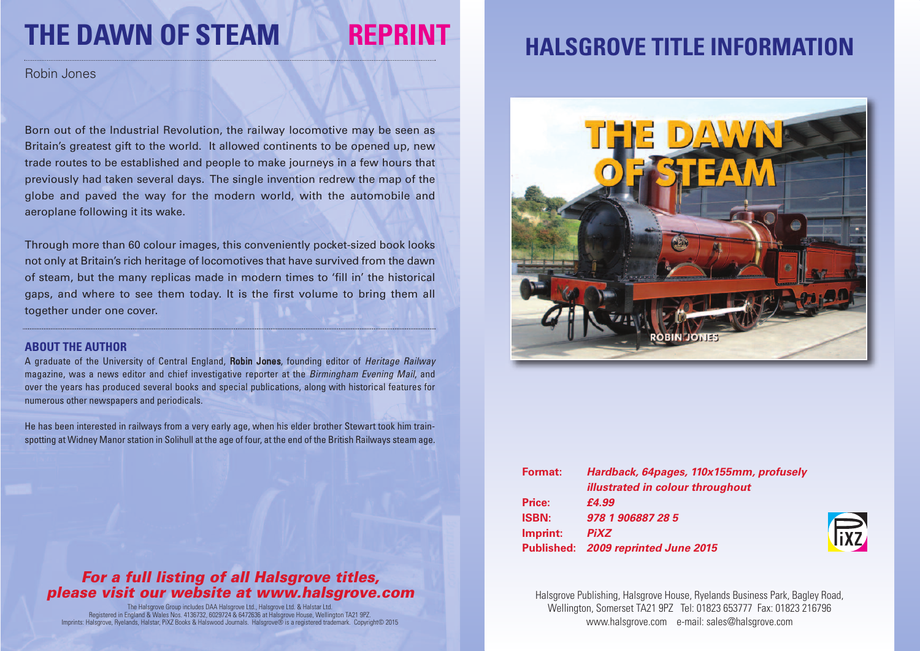# **THE DAWN OF STEAM REPRINT**

Robin Jones

Born out of the Industrial Revolution, the railway locomotive may be seen as Britain's greatest gift to the world. It allowed continents to be opened up, new trade routes to be established and people to make journeys in a few hours that previously had taken several days. The single invention redrew the map of the globe and paved the way for the modern world, with the automobile and aeroplane following it its wake.

Through more than 60 colour images, this conveniently pocket-sized book looks not only at Britain's rich heritage of locomotives that have survived from the dawn of steam, but the many replicas made in modern times to 'fill in' the historical gaps, and where to see them today. It is the first volume to bring them all together under one cover.

#### **ABOUT THE AUTHOR**

A graduate of the University of Central England, Robin Jones, founding editor of *Heritage Railway* magazine, was a news editor and chief investigative reporter at the *Birmingham Evening Mail*, and over the years has produced several books and special publications, along with historical features for numerous other newspapers and periodicals.

He has been interested in railways from a very early age, when his elder brother Stewart took him trainspotting at Widney Manor station in Solihull at the age of four, at the end of the British Railways steam age.

### *For a full listing of all Halsgrove titles, please visit our website at www.halsgrove.com*

The Halsgrove Group includes DAA Halsgrove Ltd., Halsgrove Ltd. & Halstar Ltd. Registered in England & Wales Nos. 4136732, 6029724 & 6472636 at Halsgrove House, Wellington TA21 9PZ. Imprints: Halsgrove, Ryelands, Halstar, PiXZ Books & Halswood Journals. Halsgrove® is a registered trademark. Copyright© 2015

### **HALSGROVE TITLE INFORMATION**



| <b>Format:</b> | Hardback, 64pages, 110x155mm, profusely |
|----------------|-----------------------------------------|
|                | <b>illustrated in colour throughout</b> |
| Price:         | £4.99                                   |
| <b>ISBN:</b>   | 978 1 906887 28 5                       |
| Imprint:       | <b>PiXZ</b>                             |
|                | Published: 2009 reprinted June 2015     |



Halsgrove Publishing, Halsgrove House, Ryelands Business Park, Bagley Road, Wellington, Somerset TA21 9PZ Tel: 01823 653777 Fax: 01823 216796 www.halsgrove.com e-mail: sales@halsgrove.com